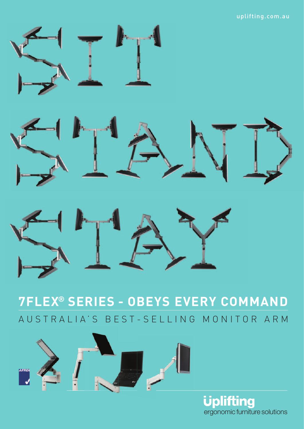#### uplifting.com.au







AUSTRALIA'S BEST-SELLING MONITOR ARM **7FLEX® SERIES - OBEYS EVERY COMMAND**



**Uplifting** ergonomic furniture solutions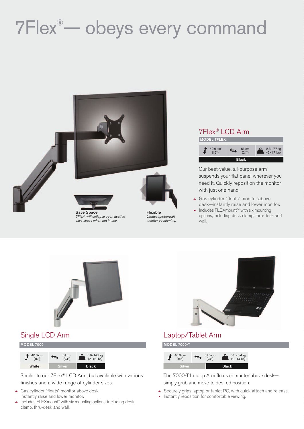# 7Flex® — obeys every command



monitor positioning.





Our best-value, all-purpose arm suspends your flat panel wherever you need it. Quickly reposition the monitor with just one hand.

- Gas cylinder "floats" monitor above desk—instantly raise and lower monitor.
- Includes FLEXmount™ with six mounting options, including desk clamp, thru-desk and wall.





### Single LCD Arm

MODEL 7000

| 40.6 cm<br>(16") | 61 cm<br>(24") | 0.9-14.1 kg<br>(2 - 31 lbs) |
|------------------|----------------|-----------------------------|
| White            | Silver         | Black                       |

Similar to our 7Flex® LCD Arm, but available with various finishes and a wide range of cylinder sizes.

- ▲ Gas cylinder "floats" monitor above deskinstantly raise and lower monitor.
- $\blacktriangle$  Includes FLEXmount™ with six mounting options, including desk clamp, thru-desk and wall.

### Laptop/Tablet Arm



The 7000-T Laptop Arm floats computer above desk simply grab and move to desired position.

- Securely grips laptop or tablet PC, with quick attach and release.
- Instantly reposition for comfortable viewing.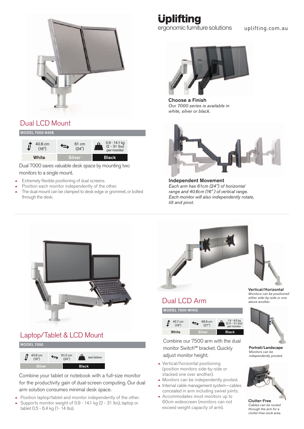

## Dual LCD Mount

#### MODEL 7000-8408



Dual 7000 saves valuable desk space by mounting two monitors to a single mount.

- $\blacktriangle$ Extremely flexible positioning of dual screens.
- $\blacktriangle$ Position each monitor independently of the other.
- - The dual mount can be clamped to desk edge or grommet, or bolted through the desk.

# **Uplifting**

ergonomic furniture solutions uplifting.com.au



Choose a Finish Our 7000 series is available in white, silver or black.



Independent Movement Each arm has 61cm (24") of horizontal range and 40.6cm (16" ) of vertical range. Each monitor will also independently rotate, tilt and pivot.



### Laptop/Tablet & LCD Mount



40.6 cm<br>(16") f) 0.6 cm  $\longleftrightarrow$  61.0 cm  $\bigcirc$  see below (16") **Black** 

Combine your tablet or notebook with a full-size monitor for the productivity gain of dual-screen computing. Our dual arm solution consumes minimal desk space.

- $\blacktriangle$ Position laptop/tablet and monitor independently of the other.
- $\blacktriangle$  Supports monitor weight of 0.9 - 14.1 kg (2 - 31 lbs), laptop or tablet 0.5 - 6.4 kg (1- 14 lbs).



### Dual LCD Arm

MODEL 7500-WING



Combine our 7500 arm with the dual monitor Switch™ bracket. Quickly adjust monitor height.

- Vertical/horizontal positioning (position monitors side-by-side or stacked one over another).
- Monitors can be independently pivoted.
- Internal cable management system—cables concealed in arm including swivel joints.
- Accommodates most monitors up to 60cm widescreen (monitors can not exceed weight capacity of arm).



Vertical/Horizontal Monitors can be positioned either side-by-side or one above another.



Portrait/Landscape Monitors can be independently pivoted.



Clutter-Free Cables can be routed through the arm for a clutter-free work area.